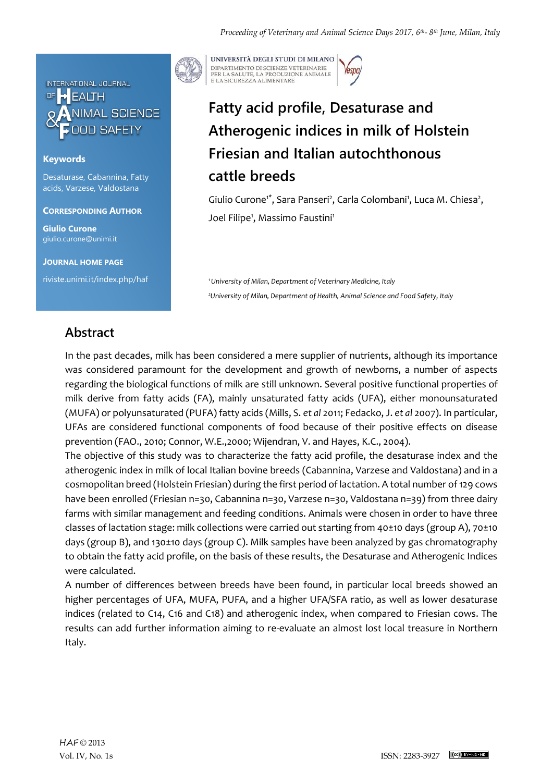

### **Keywords**

Desaturase, Cabannina, Fatty acids, Varzese, Valdostana

**CORRESPONDING AUTHOR**

**Giulio Curone** giulio.curone@unimi.it

**JOURNAL HOME PAGE**

riviste.unimi.it/index.php/haf

UNIVERSITÀ DEGLI STUDI DI MILANO DIPARTIMENTO DI SCIENZE VETERINARIE PER LA SALUTE, LA PRODUZIONE ANIMALE<br>E LA SICUREZZA ALIMENTARE

# **Fatty acid profile, Desaturase and Atherogenic indices in milk of Holstein Friesian and Italian autochthonous cattle breeds**

Giulio Curone<sup>1\*</sup>, Sara Panseri<sup>2</sup>, Carla Colombani<sup>1</sup>, Luca M. Chiesa<sup>2</sup>, Joel Filipe<sup>1</sup>, Massimo Faustini<sup>1</sup>

*<sup>1</sup>University of Milan, Department of Veterinary Medicine, Italy <sup>2</sup>University of Milan, Department of Health, Animal Science and Food Safety, Italy*

## **Abstract**

In the past decades, milk has been considered a mere supplier of nutrients, although its importance was considered paramount for the development and growth of newborns, a number of aspects regarding the biological functions of milk are still unknown. Several positive functional properties of milk derive from fatty acids (FA), mainly unsaturated fatty acids (UFA), either monounsaturated (MUFA) or polyunsaturated (PUFA) fatty acids (Mills, S. *et al* 2011; Fedacko, J. *et al* 2007). In particular, UFAs are considered functional components of food because of their positive effects on disease prevention (FAO., 2010; Connor, W.E.,2000; Wijendran, V. and Hayes, K.C., 2004).

The objective of this study was to characterize the fatty acid profile, the desaturase index and the atherogenic index in milk of local Italian bovine breeds (Cabannina, Varzese and Valdostana) and in a cosmopolitan breed (Holstein Friesian) during the first period of lactation. A total number of 129 cows have been enrolled (Friesian n=30, Cabannina n=30, Varzese n=30, Valdostana n=39) from three dairy farms with similar management and feeding conditions. Animals were chosen in order to have three classes of lactation stage: milk collections were carried out starting from 40±10 days (group A), 70±10 days (group B), and 130±10 days (group C). Milk samples have been analyzed by gas chromatography to obtain the fatty acid profile, on the basis of these results, the Desaturase and Atherogenic Indices were calculated.

A number of differences between breeds have been found, in particular local breeds showed an higher percentages of UFA, MUFA, PUFA, and a higher UFA/SFA ratio, as well as lower desaturase indices (related to C14, C16 and C18) and atherogenic index, when compared to Friesian cows. The results can add further information aiming to re-evaluate an almost lost local treasure in Northern Italy.